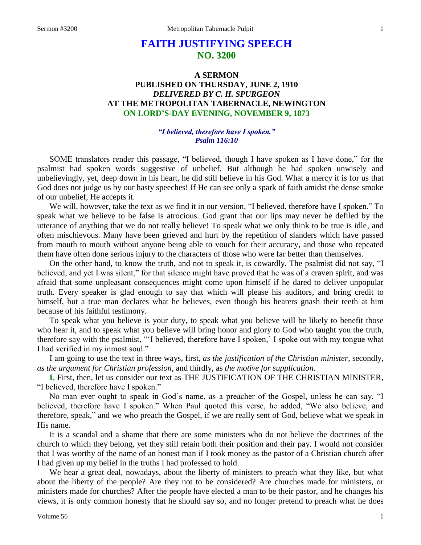# **FAITH JUSTIFYING SPEECH NO. 3200**

# **A SERMON PUBLISHED ON THURSDAY, JUNE 2, 1910** *DELIVERED BY C. H. SPURGEON* **AT THE METROPOLITAN TABERNACLE, NEWINGTON ON LORD'S-DAY EVENING, NOVEMBER 9, 1873**

#### *"I believed, therefore have I spoken." Psalm 116:10*

SOME translators render this passage, "I believed, though I have spoken as I have done," for the psalmist had spoken words suggestive of unbelief. But although he had spoken unwisely and unbelievingly, yet, deep down in his heart, he did still believe in his God. What a mercy it is for us that God does not judge us by our hasty speeches! If He can see only a spark of faith amidst the dense smoke of our unbelief, He accepts it.

We will, however, take the text as we find it in our version, "I believed, therefore have I spoken." To speak what we believe to be false is atrocious. God grant that our lips may never be defiled by the utterance of anything that we do not really believe! To speak what we only think to be true is idle, and often mischievous. Many have been grieved and hurt by the repetition of slanders which have passed from mouth to mouth without anyone being able to vouch for their accuracy, and those who repeated them have often done serious injury to the characters of those who were far better than themselves.

On the other hand, to know the truth, and not to speak it, is cowardly. The psalmist did not say, "I believed, and yet I was silent," for that silence might have proved that he was of a craven spirit, and was afraid that some unpleasant consequences might come upon himself if he dared to deliver unpopular truth. Every speaker is glad enough to say that which will please his auditors, and bring credit to himself, but a true man declares what he believes, even though his hearers gnash their teeth at him because of his faithful testimony.

To speak what you believe is your duty, to speak what you believe will be likely to benefit those who hear it, and to speak what you believe will bring honor and glory to God who taught you the truth, therefore say with the psalmist, "'I believed, therefore have I spoken,' I spoke out with my tongue what I had verified in my inmost soul."

I am going to use the text in three ways, first, *as the justification of the Christian minister,* secondly, *as the argument for Christian profession,* and thirdly, as *the motive for supplication*.

**I.** First, then, let us consider our text as THE JUSTIFICATION OF THE CHRISTIAN MINISTER, "I believed, therefore have I spoken."

No man ever ought to speak in God's name, as a preacher of the Gospel, unless he can say, "I believed, therefore have I spoken." When Paul quoted this verse, he added, "We also believe, and therefore, speak," and we who preach the Gospel, if we are really sent of God, believe what we speak in His name.

It is a scandal and a shame that there are some ministers who do not believe the doctrines of the church to which they belong, yet they still retain both their position and their pay. I would not consider that I was worthy of the name of an honest man if I took money as the pastor of a Christian church after I had given up my belief in the truths I had professed to hold.

We hear a great deal, nowadays, about the liberty of ministers to preach what they like, but what about the liberty of the people? Are they not to be considered? Are churches made for ministers, or ministers made for churches? After the people have elected a man to be their pastor, and he changes his views, it is only common honesty that he should say so, and no longer pretend to preach what he does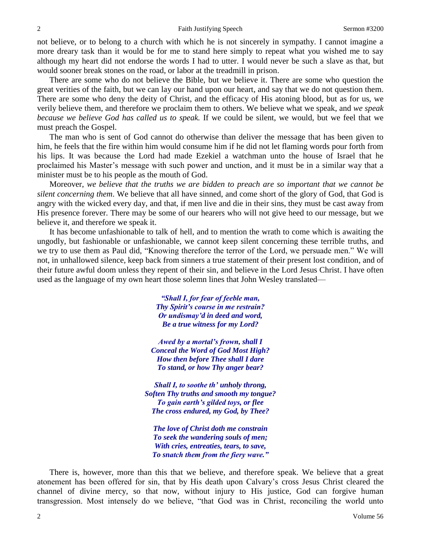not believe, or to belong to a church with which he is not sincerely in sympathy. I cannot imagine a more dreary task than it would be for me to stand here simply to repeat what you wished me to say although my heart did not endorse the words I had to utter. I would never be such a slave as that, but would sooner break stones on the road, or labor at the treadmill in prison.

There are some who do not believe the Bible, but we believe it. There are some who question the great verities of the faith, but we can lay our hand upon our heart, and say that we do not question them. There are some who deny the deity of Christ, and the efficacy of His atoning blood, but as for us, we verily believe them, and therefore we proclaim them to others. We believe what we speak, and *we speak because we believe God has called us to speak.* If we could be silent, we would, but we feel that we must preach the Gospel.

The man who is sent of God cannot do otherwise than deliver the message that has been given to him, he feels that the fire within him would consume him if he did not let flaming words pour forth from his lips. It was because the Lord had made Ezekiel a watchman unto the house of Israel that he proclaimed his Master's message with such power and unction, and it must be in a similar way that a minister must be to his people as the mouth of God.

Moreover, *we believe that the truths we are bidden to preach are so important that we cannot be silent concerning them*. We believe that all have sinned, and come short of the glory of God, that God is angry with the wicked every day, and that, if men live and die in their sins, they must be cast away from His presence forever. There may be some of our hearers who will not give heed to our message, but we believe it, and therefore we speak it.

It has become unfashionable to talk of hell, and to mention the wrath to come which is awaiting the ungodly, but fashionable or unfashionable, we cannot keep silent concerning these terrible truths, and we try to use them as Paul did, "Knowing therefore the terror of the Lord, we persuade men." We will not, in unhallowed silence, keep back from sinners a true statement of their present lost condition, and of their future awful doom unless they repent of their sin, and believe in the Lord Jesus Christ. I have often used as the language of my own heart those solemn lines that John Wesley translated—

> *"Shall I, for fear of feeble man, Thy Spirit's course in me restrain? Or undismay'd in deed and word, Be a true witness for my Lord?*

*Awed by a mortal's frown, shall I Conceal the Word of God Most High? How then before Thee shall I dare To stand, or how Thy anger bear?*

*Shall I, to soothe th' unholy throng, Soften Thy truths and smooth my tongue? To gain earth's gilded toys, or flee The cross endured, my God, by Thee?*

*The love of Christ doth me constrain To seek the wandering souls of men; With cries, entreaties, tears, to save, To snatch them from the fiery wave."*

There is, however, more than this that we believe, and therefore speak. We believe that a great atonement has been offered for sin, that by His death upon Calvary's cross Jesus Christ cleared the channel of divine mercy, so that now, without injury to His justice, God can forgive human transgression. Most intensely do we believe, "that God was in Christ, reconciling the world unto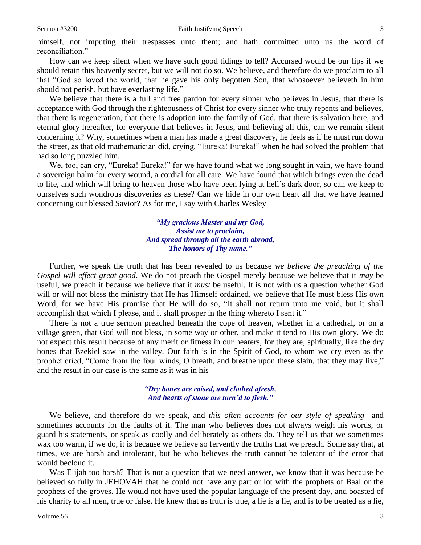himself, not imputing their trespasses unto them; and hath committed unto us the word of reconciliation."

How can we keep silent when we have such good tidings to tell? Accursed would be our lips if we should retain this heavenly secret, but we will not do so. We believe, and therefore do we proclaim to all that "God so loved the world, that he gave his only begotten Son, that whosoever believeth in him should not perish, but have everlasting life."

We believe that there is a full and free pardon for every sinner who believes in Jesus, that there is acceptance with God through the righteousness of Christ for every sinner who truly repents and believes, that there is regeneration, that there is adoption into the family of God, that there is salvation here, and eternal glory hereafter, for everyone that believes in Jesus, and believing all this, can we remain silent concerning it? Why, sometimes when a man has made a great discovery, he feels as if he must run down the street, as that old mathematician did, crying, "Eureka! Eureka!" when he had solved the problem that had so long puzzled him.

We, too, can cry, "Eureka! Eureka!" for we have found what we long sought in vain, we have found a sovereign balm for every wound, a cordial for all care. We have found that which brings even the dead to life, and which will bring to heaven those who have been lying at hell's dark door, so can we keep to ourselves such wondrous discoveries as these? Can we hide in our own heart all that we have learned concerning our blessed Savior? As for me, I say with Charles Wesley—

> *"My gracious Master and my God, Assist me to proclaim, And spread through all the earth abroad, The honors of Thy name."*

Further, we speak the truth that has been revealed to us because *we believe the preaching of the Gospel will effect great good*. We do not preach the Gospel merely because we believe that it *may* be useful, we preach it because we believe that it *must* be useful. It is not with us a question whether God will or will not bless the ministry that He has Himself ordained, we believe that He must bless His own Word, for we have His promise that He will do so, "It shall not return unto me void, but it shall accomplish that which I please, and it shall prosper in the thing whereto I sent it."

There is not a true sermon preached beneath the cope of heaven, whether in a cathedral, or on a village green, that God will not bless, in some way or other, and make it tend to His own glory. We do not expect this result because of any merit or fitness in our hearers, for they are, spiritually, like the dry bones that Ezekiel saw in the valley. Our faith is in the Spirit of God, to whom we cry even as the prophet cried, "Come from the four winds, O breath, and breathe upon these slain, that they may live," and the result in our case is the same as it was in his—

### *"Dry bones are raised, and clothed afresh, And hearts of stone are turn'd to flesh."*

We believe, and therefore do we speak, and *this often accounts for our style of speaking—*and sometimes accounts for the faults of it. The man who believes does not always weigh his words, or guard his statements, or speak as coolly and deliberately as others do. They tell us that we sometimes wax too warm, if we do, it is because we believe so fervently the truths that we preach. Some say that, at times, we are harsh and intolerant, but he who believes the truth cannot be tolerant of the error that would becloud it.

Was Elijah too harsh? That is not a question that we need answer, we know that it was because he believed so fully in JEHOVAH that he could not have any part or lot with the prophets of Baal or the prophets of the groves. He would not have used the popular language of the present day, and boasted of his charity to all men, true or false. He knew that as truth is true, a lie is a lie, and is to be treated as a lie,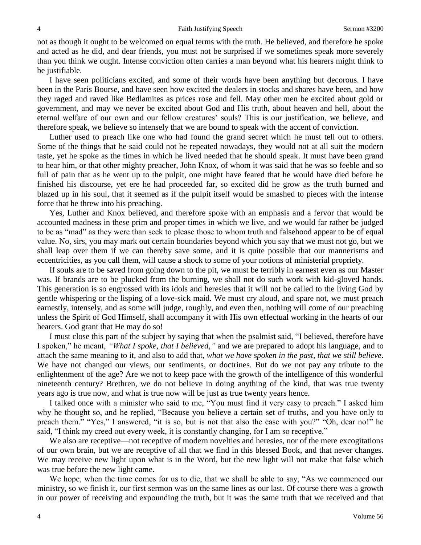not as though it ought to be welcomed on equal terms with the truth. He believed, and therefore he spoke and acted as he did, and dear friends, you must not be surprised if we sometimes speak more severely than you think we ought. Intense conviction often carries a man beyond what his hearers might think to be justifiable.

I have seen politicians excited, and some of their words have been anything but decorous. I have been in the Paris Bourse, and have seen how excited the dealers in stocks and shares have been, and how they raged and raved like Bedlamites as prices rose and fell. May other men be excited about gold or government, and may we never be excited about God and His truth, about heaven and hell, about the eternal welfare of our own and our fellow creatures' souls? This is our justification, we believe, and therefore speak, we believe so intensely that we are bound to speak with the accent of conviction.

Luther used to preach like one who had found the grand secret which he must tell out to others. Some of the things that he said could not be repeated nowadays, they would not at all suit the modern taste, yet he spoke as the times in which he lived needed that he should speak. It must have been grand to hear him, or that other mighty preacher, John Knox, of whom it was said that he was so feeble and so full of pain that as he went up to the pulpit, one might have feared that he would have died before he finished his discourse, yet ere he had proceeded far, so excited did he grow as the truth burned and blazed up in his soul, that it seemed as if the pulpit itself would be smashed to pieces with the intense force that he threw into his preaching.

Yes, Luther and Knox believed, and therefore spoke with an emphasis and a fervor that would be accounted madness in these prim and proper times in which we live, and we would far rather be judged to be as "mad" as they were than seek to please those to whom truth and falsehood appear to be of equal value. No, sirs, you may mark out certain boundaries beyond which you say that we must not go, but we shall leap over them if we can thereby save some, and it is quite possible that our mannerisms and eccentricities, as you call them, will cause a shock to some of your notions of ministerial propriety.

If souls are to be saved from going down to the pit, we must be terribly in earnest even as our Master was. If brands are to be plucked from the burning, we shall not do such work with kid-gloved hands. This generation is so engrossed with its idols and heresies that it will not be called to the living God by gentle whispering or the lisping of a love-sick maid. We must cry aloud, and spare not, we must preach earnestly, intensely, and as some will judge, roughly, and even then, nothing will come of our preaching unless the Spirit of God Himself, shall accompany it with His own effectual working in the hearts of our hearers. God grant that He may do so!

I must close this part of the subject by saying that when the psalmist said, "I believed, therefore have I spoken," he meant, *"What I spoke, that I believed,"* and we are prepared to adopt his language, and to attach the same meaning to it, and also to add that, *what we have spoken in the past, that we still believe*. We have not changed our views, our sentiments, or doctrines. But do we not pay any tribute to the enlightenment of the age? Are we not to keep pace with the growth of the intelligence of this wonderful nineteenth century? Brethren, we do not believe in doing anything of the kind, that was true twenty years ago is true now, and what is true now will be just as true twenty years hence.

I talked once with a minister who said to me, "You must find it very easy to preach." I asked him why he thought so, and he replied, "Because you believe a certain set of truths, and you have only to preach them." "Yes," I answered, "it is so, but is not that also the case with you?" "Oh, dear no!" he said, "I think my creed out every week, it is constantly changing, for I am so receptive."

We also are receptive—not receptive of modern novelties and heresies, nor of the mere excogitations of our own brain, but we are receptive of all that we find in this blessed Book, and that never changes. We may receive new light upon what is in the Word, but the new light will not make that false which was true before the new light came.

We hope, when the time comes for us to die, that we shall be able to say, "As we commenced our ministry, so we finish it, our first sermon was on the same lines as our last. Of course there was a growth in our power of receiving and expounding the truth, but it was the same truth that we received and that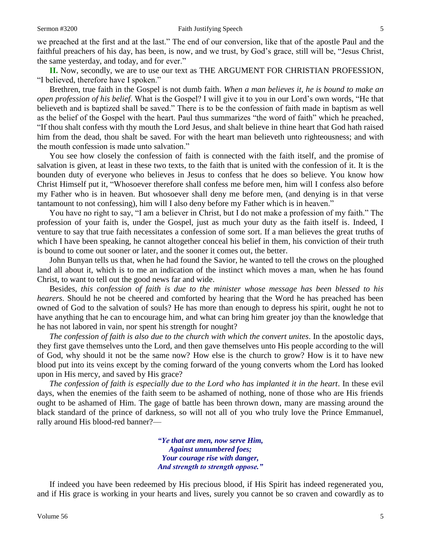we preached at the first and at the last." The end of our conversion, like that of the apostle Paul and the faithful preachers of his day, has been, is now, and we trust, by God's grace, still will be, "Jesus Christ, the same yesterday, and today, and for ever."

**II.** Now, secondly, we are to use our text as THE ARGUMENT FOR CHRISTIAN PROFESSION, "I believed, therefore have I spoken."

Brethren, true faith in the Gospel is not dumb faith. *When a man believes it, he is bound to make an open profession of his belief*. What is the Gospel? I will give it to you in our Lord's own words, "He that believeth and is baptized shall be saved." There is to be the confession of faith made in baptism as well as the belief of the Gospel with the heart. Paul thus summarizes "the word of faith" which he preached, "If thou shalt confess with thy mouth the Lord Jesus, and shalt believe in thine heart that God hath raised him from the dead, thou shalt be saved. For with the heart man believeth unto righteousness; and with the mouth confession is made unto salvation."

You see how closely the confession of faith is connected with the faith itself, and the promise of salvation is given, at least in these two texts, to the faith that is united with the confession of it. It is the bounden duty of everyone who believes in Jesus to confess that he does so believe. You know how Christ Himself put it, "Whosoever therefore shall confess me before men, him will I confess also before my Father who is in heaven. But whosoever shall deny me before men, (and denying is in that verse tantamount to not confessing), him will I also deny before my Father which is in heaven."

You have no right to say, "I am a believer in Christ, but I do not make a profession of my faith." The profession of your faith is, under the Gospel, just as much your duty as the faith itself is. Indeed, I venture to say that true faith necessitates a confession of some sort. If a man believes the great truths of which I have been speaking, he cannot altogether conceal his belief in them, his conviction of their truth is bound to come out sooner or later, and the sooner it comes out, the better.

John Bunyan tells us that, when he had found the Savior, he wanted to tell the crows on the ploughed land all about it, which is to me an indication of the instinct which moves a man, when he has found Christ, to want to tell out the good news far and wide.

Besides, *this confession of faith is due to the minister whose message has been blessed to his hearers*. Should he not be cheered and comforted by hearing that the Word he has preached has been owned of God to the salvation of souls? He has more than enough to depress his spirit, ought he not to have anything that he can to encourage him, and what can bring him greater joy than the knowledge that he has not labored in vain, nor spent his strength for nought?

*The confession of faith is also due to the church with which the convert unites*. In the apostolic days, they first gave themselves unto the Lord, and then gave themselves unto His people according to the will of God, why should it not be the same now? How else is the church to grow? How is it to have new blood put into its veins except by the coming forward of the young converts whom the Lord has looked upon in His mercy, and saved by His grace?

*The confession of faith is especially due to the Lord who has implanted it in the heart*. In these evil days, when the enemies of the faith seem to be ashamed of nothing, none of those who are His friends ought to be ashamed of Him. The gage of battle has been thrown down, many are massing around the black standard of the prince of darkness, so will not all of you who truly love the Prince Emmanuel, rally around His blood-red banner?—

> *"Ye that are men, now serve Him, Against unnumbered foes; Your courage rise with danger, And strength to strength oppose."*

If indeed you have been redeemed by His precious blood, if His Spirit has indeed regenerated you, and if His grace is working in your hearts and lives, surely you cannot be so craven and cowardly as to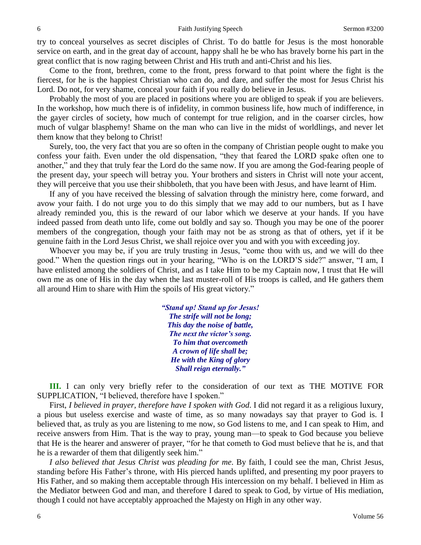try to conceal yourselves as secret disciples of Christ. To do battle for Jesus is the most honorable service on earth, and in the great day of account, happy shall he be who has bravely borne his part in the great conflict that is now raging between Christ and His truth and anti-Christ and his lies.

Come to the front, brethren, come to the front, press forward to that point where the fight is the fiercest, for he is the happiest Christian who can do, and dare, and suffer the most for Jesus Christ his Lord. Do not, for very shame, conceal your faith if you really do believe in Jesus.

Probably the most of you are placed in positions where you are obliged to speak if you are believers. In the workshop, how much there is of infidelity, in common business life, how much of indifference, in the gayer circles of society, how much of contempt for true religion, and in the coarser circles, how much of vulgar blasphemy! Shame on the man who can live in the midst of worldlings, and never let them know that they belong to Christ!

Surely, too, the very fact that you are so often in the company of Christian people ought to make you confess your faith. Even under the old dispensation, "they that feared the LORD spake often one to another," and they that truly fear the Lord do the same now. If you are among the God-fearing people of the present day, your speech will betray you. Your brothers and sisters in Christ will note your accent, they will perceive that you use their shibboleth, that you have been with Jesus, and have learnt of Him.

If any of you have received the blessing of salvation through the ministry here, come forward, and avow your faith. I do not urge you to do this simply that we may add to our numbers, but as I have already reminded you, this is the reward of our labor which we deserve at your hands. If you have indeed passed from death unto life, come out boldly and say so. Though you may be one of the poorer members of the congregation, though your faith may not be as strong as that of others, yet if it be genuine faith in the Lord Jesus Christ, we shall rejoice over you and with you with exceeding joy.

Whoever you may be, if you are truly trusting in Jesus, "come thou with us, and we will do thee good." When the question rings out in your hearing, "Who is on the LORD'S side?" answer, "I am, I have enlisted among the soldiers of Christ, and as I take Him to be my Captain now, I trust that He will own me as one of His in the day when the last muster-roll of His troops is called, and He gathers them all around Him to share with Him the spoils of His great victory."

> *"Stand up! Stand up for Jesus! The strife will not be long; This day the noise of battle, The next the victor's song. To him that overcometh A crown of life shall be; He with the King of glory Shall reign eternally."*

**III.** I can only very briefly refer to the consideration of our text as THE MOTIVE FOR SUPPLICATION, "I believed, therefore have I spoken."

First, *I believed in prayer, therefore have I spoken with God*. I did not regard it as a religious luxury, a pious but useless exercise and waste of time, as so many nowadays say that prayer to God is. I believed that, as truly as you are listening to me now, so God listens to me, and I can speak to Him, and receive answers from Him. That is the way to pray, young man—to speak to God because you believe that He is the hearer and answerer of prayer, "for he that cometh to God must believe that he is, and that he is a rewarder of them that diligently seek him."

*I also believed that Jesus Christ was pleading for me*. By faith, I could see the man, Christ Jesus, standing before His Father's throne, with His pierced hands uplifted, and presenting my poor prayers to His Father, and so making them acceptable through His intercession on my behalf. I believed in Him as the Mediator between God and man, and therefore I dared to speak to God, by virtue of His mediation, though I could not have acceptably approached the Majesty on High in any other way.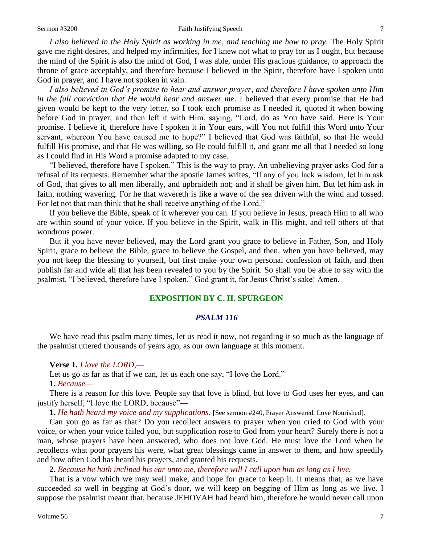#### Sermon #3200 **Faith Justifying Speech** 7

*I also believed in the Holy Spirit as working in me, and teaching me how to pray*. The Holy Spirit gave me right desires, and helped my infirmities, for I knew not what to pray for as I ought, but because the mind of the Spirit is also the mind of God, I was able, under His gracious guidance, to approach the throne of grace acceptably, and therefore because I believed in the Spirit, therefore have I spoken unto God in prayer, and I have not spoken in vain.

*I also believed in God's promise to hear and answer prayer, and therefore I have spoken unto Him in the full conviction that He would hear and answer me*. I believed that every promise that He had given would be kept to the very letter, so I took each promise as I needed it, quoted it when bowing before God in prayer, and then left it with Him, saying, "Lord, do as You have said. Here is Your promise. I believe it, therefore have I spoken it in Your ears, will You not fulfill this Word unto Your servant, whereon You have caused me to hope?" I believed that God was faithful, so that He would fulfill His promise, and that He was willing, so He could fulfill it, and grant me all that I needed so long as I could find in His Word a promise adapted to my case.

"I believed, therefore have I spoken." This is the way to pray. An unbelieving prayer asks God for a refusal of its requests. Remember what the apostle James writes, "If any of you lack wisdom, let him ask of God, that gives to all men liberally, and upbraideth not; and it shall be given him. But let him ask in faith, nothing wavering. For he that wavereth is like a wave of the sea driven with the wind and tossed. For let not that man think that he shall receive anything of the Lord."

If you believe the Bible, speak of it wherever you can. If you believe in Jesus, preach Him to all who are within sound of your voice. If you believe in the Spirit, walk in His might, and tell others of that wondrous power.

But if you have never believed, may the Lord grant you grace to believe in Father, Son, and Holy Spirit, grace to believe the Bible, grace to believe the Gospel, and then, when you have believed, may you not keep the blessing to yourself, but first make your own personal confession of faith, and then publish far and wide all that has been revealed to you by the Spirit. So shall you be able to say with the psalmist, "I believed, therefore have I spoken." God grant it, for Jesus Christ's sake! Amen.

### **EXPOSITION BY C. H. SPURGEON**

#### *PSALM 116*

We have read this psalm many times, let us read it now, not regarding it so much as the language of the psalmist uttered thousands of years ago, as our own language at this moment.

#### **Verse 1.** *I love the LORD,—*

Let us go as far as that if we can, let us each one say, "I love the Lord."

#### **1.** *Because—*

There is a reason for this love. People say that love is blind, but love to God uses her eyes, and can justify herself, "I love the LORD, because"—

**1.** *He hath heard my voice and my supplications.* [See sermon #240, Prayer Answered, Love Nourished].

Can you go as far as that? Do you recollect answers to prayer when you cried to God with your voice, or when your voice failed you, but supplication rose to God from your heart? Surely there is not a man, whose prayers have been answered, who does not love God. He must love the Lord when he recollects what poor prayers his were, what great blessings came in answer to them, and how speedily and how often God has heard his prayers, and granted his requests.

#### **2.** *Because he hath inclined his ear unto me, therefore will I call upon him as long as I live.*

That is a vow which we may well make, and hope for grace to keep it. It means that, as we have succeeded so well in begging at God's door, we will keep on begging of Him as long as we live. I suppose the psalmist meant that, because JEHOVAH had heard him, therefore he would never call upon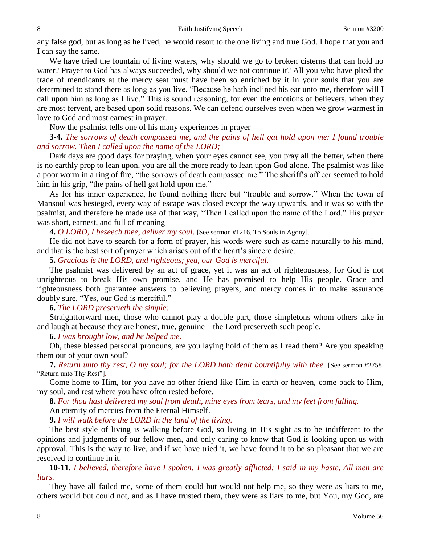any false god, but as long as he lived, he would resort to the one living and true God. I hope that you and I can say the same.

We have tried the fountain of living waters, why should we go to broken cisterns that can hold no water? Prayer to God has always succeeded, why should we not continue it? All you who have plied the trade of mendicants at the mercy seat must have been so enriched by it in your souls that you are determined to stand there as long as you live. "Because he hath inclined his ear unto me, therefore will I call upon him as long as I live." This is sound reasoning, for even the emotions of believers, when they are most fervent, are based upon solid reasons. We can defend ourselves even when we grow warmest in love to God and most earnest in prayer.

Now the psalmist tells one of his many experiences in prayer—

## **3-4.** *The sorrows of death compassed me, and the pains of hell gat hold upon me: I found trouble and sorrow. Then I called upon the name of the LORD;*

Dark days are good days for praying, when your eyes cannot see, you pray all the better, when there is no earthly prop to lean upon, you are all the more ready to lean upon God alone. The psalmist was like a poor worm in a ring of fire, "the sorrows of death compassed me." The sheriff's officer seemed to hold him in his grip, "the pains of hell gat hold upon me."

As for his inner experience, he found nothing there but "trouble and sorrow." When the town of Mansoul was besieged, every way of escape was closed except the way upwards, and it was so with the psalmist, and therefore he made use of that way, "Then I called upon the name of the Lord." His prayer was short, earnest, and full of meaning—

**4.** *O LORD, I beseech thee, deliver my soul*. [See sermon #1216, To Souls in Agony].

He did not have to search for a form of prayer, his words were such as came naturally to his mind, and that is the best sort of prayer which arises out of the heart's sincere desire.

**5.** *Gracious is the LORD, and righteous; yea, our God is merciful.*

The psalmist was delivered by an act of grace, yet it was an act of righteousness, for God is not unrighteous to break His own promise, and He has promised to help His people. Grace and righteousness both guarantee answers to believing prayers, and mercy comes in to make assurance doubly sure, "Yes, our God is merciful."

**6.** *The LORD preserveth the simple:*

Straightforward men, those who cannot play a double part, those simpletons whom others take in and laugh at because they are honest, true, genuine—the Lord preserveth such people.

**6.** *I was brought low, and he helped me.*

Oh, these blessed personal pronouns, are you laying hold of them as I read them? Are you speaking them out of your own soul?

**7.** *Return unto thy rest, O my soul; for the LORD hath dealt bountifully with thee.* [See sermon #2758, "Return unto Thy Rest"].

Come home to Him, for you have no other friend like Him in earth or heaven, come back to Him, my soul, and rest where you have often rested before.

**8.** *For thou hast delivered my soul from death, mine eyes from tears, and my feet from falling.*

An eternity of mercies from the Eternal Himself.

**9.** *I will walk before the LORD in the land of the living.*

The best style of living is walking before God, so living in His sight as to be indifferent to the opinions and judgments of our fellow men, and only caring to know that God is looking upon us with approval. This is the way to live, and if we have tried it, we have found it to be so pleasant that we are resolved to continue in it.

**10-11.** *I believed, therefore have I spoken: I was greatly afflicted: I said in my haste, All men are liars.*

They have all failed me, some of them could but would not help me, so they were as liars to me, others would but could not, and as I have trusted them, they were as liars to me, but You, my God, are